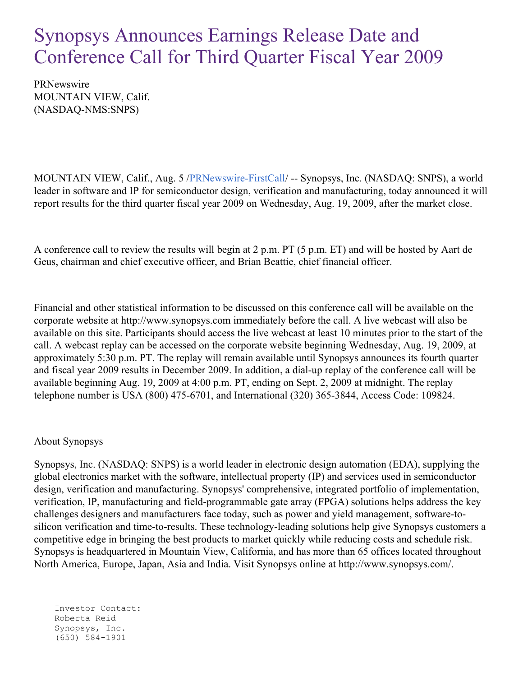## Synopsys Announces Earnings Release Date and Conference Call for Third Quarter Fiscal Year 2009

PRNewswire MOUNTAIN VIEW, Calif. (NASDAQ-NMS:SNPS)

MOUNTAIN VIEW, Calif., Aug. 5 [/PRNewswire-FirstCall](http://www.prnewswire.com/)/ -- Synopsys, Inc. (NASDAQ: SNPS), a world leader in software and IP for semiconductor design, verification and manufacturing, today announced it will report results for the third quarter fiscal year 2009 on Wednesday, Aug. 19, 2009, after the market close.

A conference call to review the results will begin at 2 p.m. PT (5 p.m. ET) and will be hosted by Aart de Geus, chairman and chief executive officer, and Brian Beattie, chief financial officer.

Financial and other statistical information to be discussed on this conference call will be available on the corporate website at http://www.synopsys.com immediately before the call. A live webcast will also be available on this site. Participants should access the live webcast at least 10 minutes prior to the start of the call. A webcast replay can be accessed on the corporate website beginning Wednesday, Aug. 19, 2009, at approximately 5:30 p.m. PT. The replay will remain available until Synopsys announces its fourth quarter and fiscal year 2009 results in December 2009. In addition, a dial-up replay of the conference call will be available beginning Aug. 19, 2009 at 4:00 p.m. PT, ending on Sept. 2, 2009 at midnight. The replay telephone number is USA (800) 475-6701, and International (320) 365-3844, Access Code: 109824.

## About Synopsys

Synopsys, Inc. (NASDAQ: SNPS) is a world leader in electronic design automation (EDA), supplying the global electronics market with the software, intellectual property (IP) and services used in semiconductor design, verification and manufacturing. Synopsys' comprehensive, integrated portfolio of implementation, verification, IP, manufacturing and field-programmable gate array (FPGA) solutions helps address the key challenges designers and manufacturers face today, such as power and yield management, software-tosilicon verification and time-to-results. These technology-leading solutions help give Synopsys customers a competitive edge in bringing the best products to market quickly while reducing costs and schedule risk. Synopsys is headquartered in Mountain View, California, and has more than 65 offices located throughout North America, Europe, Japan, Asia and India. Visit Synopsys online at http://www.synopsys.com/.

Investor Contact: Roberta Reid Synopsys, Inc. (650) 584-1901